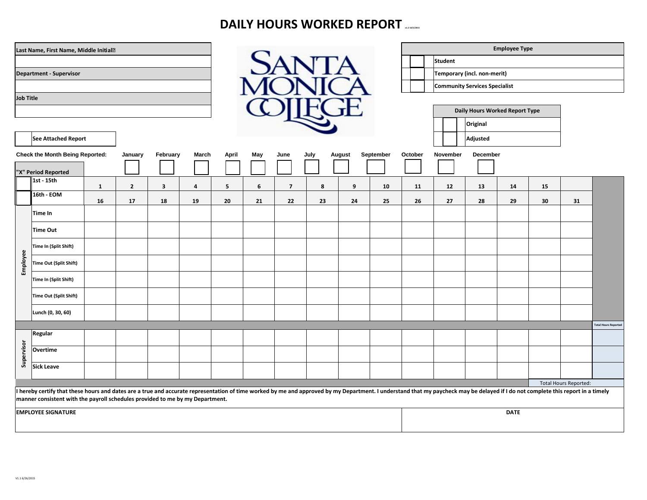# **DAILY HOURS WORKED REPORT**

|                                                                                                                                                                                                                                                                                                                 | Last Name, First Name, Middle Initial? |              |                |                         |      |        |              |                |          |          |             | <b>Employee Type</b> |                                               |    |    |    |                              |                            |  |
|-----------------------------------------------------------------------------------------------------------------------------------------------------------------------------------------------------------------------------------------------------------------------------------------------------------------|----------------------------------------|--------------|----------------|-------------------------|------|--------|--------------|----------------|----------|----------|-------------|----------------------|-----------------------------------------------|----|----|----|------------------------------|----------------------------|--|
| <b>Department - Supervisor</b>                                                                                                                                                                                                                                                                                  |                                        |              |                |                         |      |        | <b>SANTA</b> |                |          |          |             |                      | <b>Student</b><br>Temporary (incl. non-merit) |    |    |    |                              |                            |  |
|                                                                                                                                                                                                                                                                                                                 |                                        |              |                |                         |      |        |              |                |          |          |             |                      | <b>Community Services Specialist</b>          |    |    |    |                              |                            |  |
| <b>Job Title</b>                                                                                                                                                                                                                                                                                                |                                        |              |                |                         |      |        |              |                |          |          |             |                      | Daily Hours Worked Report Type                |    |    |    |                              |                            |  |
|                                                                                                                                                                                                                                                                                                                 |                                        |              |                |                         |      |        |              |                |          |          |             |                      | Original                                      |    |    |    |                              |                            |  |
| <b>See Attached Report</b>                                                                                                                                                                                                                                                                                      |                                        |              |                |                         |      |        |              |                |          |          |             | Adjusted             |                                               |    |    |    |                              |                            |  |
| <b>Check the Month Being Reported:</b><br>February<br>March<br>January<br>"X" Period Reported                                                                                                                                                                                                                   |                                        | April        | May            | June                    | July | August | September    | October        | November | December |             |                      |                                               |    |    |    |                              |                            |  |
|                                                                                                                                                                                                                                                                                                                 | 1st - 15th                             | $\mathbf{1}$ | $\overline{2}$ | $\overline{\mathbf{3}}$ | 4    | 5      | 6            | $\overline{7}$ | 8        | 9        | 10          | 11                   | 12                                            | 13 | 14 | 15 |                              |                            |  |
|                                                                                                                                                                                                                                                                                                                 | 16th - EOM                             | 16           | 17             | 18                      | 19   | 20     | 21           | 22             | 23       | 24       | 25          | 26                   | 27                                            | 28 | 29 | 30 | 31                           |                            |  |
| Employee                                                                                                                                                                                                                                                                                                        | Time In                                |              |                |                         |      |        |              |                |          |          |             |                      |                                               |    |    |    |                              |                            |  |
|                                                                                                                                                                                                                                                                                                                 | <b>Time Out</b>                        |              |                |                         |      |        |              |                |          |          |             |                      |                                               |    |    |    |                              |                            |  |
|                                                                                                                                                                                                                                                                                                                 | Time In (Split Shift)                  |              |                |                         |      |        |              |                |          |          |             |                      |                                               |    |    |    |                              |                            |  |
|                                                                                                                                                                                                                                                                                                                 | Time Out (Split Shift)                 |              |                |                         |      |        |              |                |          |          |             |                      |                                               |    |    |    |                              |                            |  |
|                                                                                                                                                                                                                                                                                                                 | Time In (Split Shift)                  |              |                |                         |      |        |              |                |          |          |             |                      |                                               |    |    |    |                              |                            |  |
|                                                                                                                                                                                                                                                                                                                 | Time Out (Split Shift)                 |              |                |                         |      |        |              |                |          |          |             |                      |                                               |    |    |    |                              |                            |  |
|                                                                                                                                                                                                                                                                                                                 | Lunch (0, 30, 60)                      |              |                |                         |      |        |              |                |          |          |             |                      |                                               |    |    |    |                              |                            |  |
|                                                                                                                                                                                                                                                                                                                 | Regular                                |              |                |                         |      |        |              |                |          |          |             |                      |                                               |    |    |    |                              | <b>Total Hours Reporte</b> |  |
|                                                                                                                                                                                                                                                                                                                 | Overtime                               |              |                |                         |      |        |              |                |          |          |             |                      |                                               |    |    |    |                              |                            |  |
| Supervisor                                                                                                                                                                                                                                                                                                      | <b>Sick Leave</b>                      |              |                |                         |      |        |              |                |          |          |             |                      |                                               |    |    |    |                              |                            |  |
|                                                                                                                                                                                                                                                                                                                 |                                        |              |                |                         |      |        |              |                |          |          |             |                      |                                               |    |    |    | <b>Total Hours Reported:</b> |                            |  |
| I hereby certify that these hours and dates are a true and accurate representation of time worked by me and approved by my Department. I understand that my paycheck may be delayed if I do not complete this report in a time<br>manner consistent with the payroll schedules provided to me by my Department. |                                        |              |                |                         |      |        |              |                |          |          |             |                      |                                               |    |    |    |                              |                            |  |
| <b>EMPLOYEE SIGNATURE</b>                                                                                                                                                                                                                                                                                       |                                        |              |                |                         |      |        |              |                |          |          | <b>DATE</b> |                      |                                               |    |    |    |                              |                            |  |
|                                                                                                                                                                                                                                                                                                                 |                                        |              |                |                         |      |        |              |                |          |          |             |                      |                                               |    |    |    |                              |                            |  |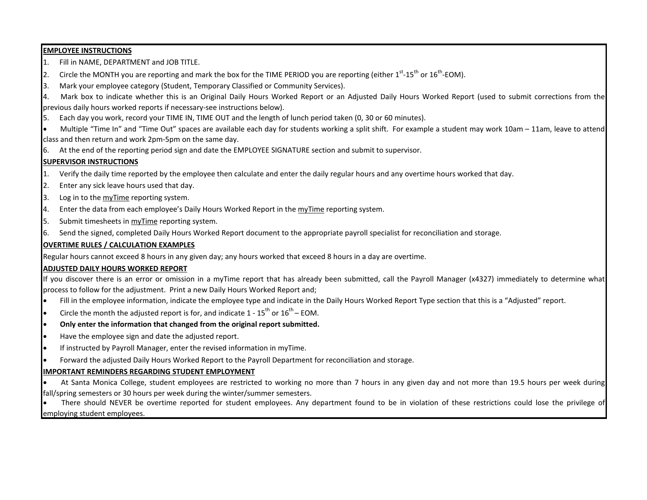#### **EMPLOYEE INSTRUCTIONS**

- 1. Fill in NAME, DEPARTMENT and JOB TITLE.
- 2. Circle the MONTH you are reporting and mark the box for the TIME PERIOD you are reporting (either  $1^{st}$ -15<sup>th</sup> or  $16^{th}$ -EOM).
- 3. Mark your employee category (Student, Temporary Classified or Community Services).
- 4. Mark box to indicate whether this is an Original Daily Hours Worked Report or an Adjusted Daily Hours Worked Report (used to submit corrections from the previous daily hours worked reports if necessary-see instructions below).
- 5. Each day you work, record your TIME IN, TIME OUT and the length of lunch period taken (0, 30 or 60 minutes).
- Multiple "Time In" and "Time Out" spaces are available each day for students working a split shift. For example a student may work 10am 11am, leave to attend class and then return and work 2pm-5pm on the same day.
- 6. At the end of the reporting period sign and date the EMPLOYEE SIGNATURE section and submit to supervisor.

#### **SUPERVISOR INSTRUCTIONS**

- 1. Verify the daily time reported by the employee then calculate and enter the daily regular hours and any overtime hours worked that day.
- 2. Enter any sick leave hours used that day.
- 3. Log in to the myTime reporting system.
- 4. Enter the data from each employee's Daily Hours Worked Report in the myTime reporting system.
- 5. Submit timesheets in myTime reporting system.
- 6. Send the signed, completed Daily Hours Worked Report document to the appropriate payroll specialist for reconciliation and storage.

#### **OVERTIME RULES / CALCULATION EXAMPLES**

Regular hours cannot exceed 8 hours in any given day; any hours worked that exceed 8 hours in a day are overtime.

## **ADJUSTED DAILY HOURS WORKED REPORT**

If you discover there is an error or omission in a myTime report that has already been submitted, call the Payroll Manager (x4327) immediately to determine what process to follow for the adjustment. Print a new Daily Hours Worked Report and;

- Fill in the employee information, indicate the employee type and indicate in the Daily Hours Worked Report Type section that this is a "Adjusted" report.
- Circle the month the adjusted report is for, and indicate  $1 15^{th}$  or  $16^{th}$  EOM.
- **Only enter the information that changed from the original report submitted.**
- Have the employee sign and date the adjusted report.
- If instructed by Payroll Manager, enter the revised information in myTime.
- Forward the adjusted Daily Hours Worked Report to the Payroll Department for reconciliation and storage.

## **IMPORTANT REMINDERS REGARDING STUDENT EMPLOYMENT**

- At Santa Monica College, student employees are restricted to working no more than 7 hours in any given day and not more than 19.5 hours per week during fall/spring semesters or 30 hours per week during the winter/summer semesters.
- There should NEVER be overtime reported for student employees. Any department found to be in violation of these restrictions could lose the privilege of employing student employees.